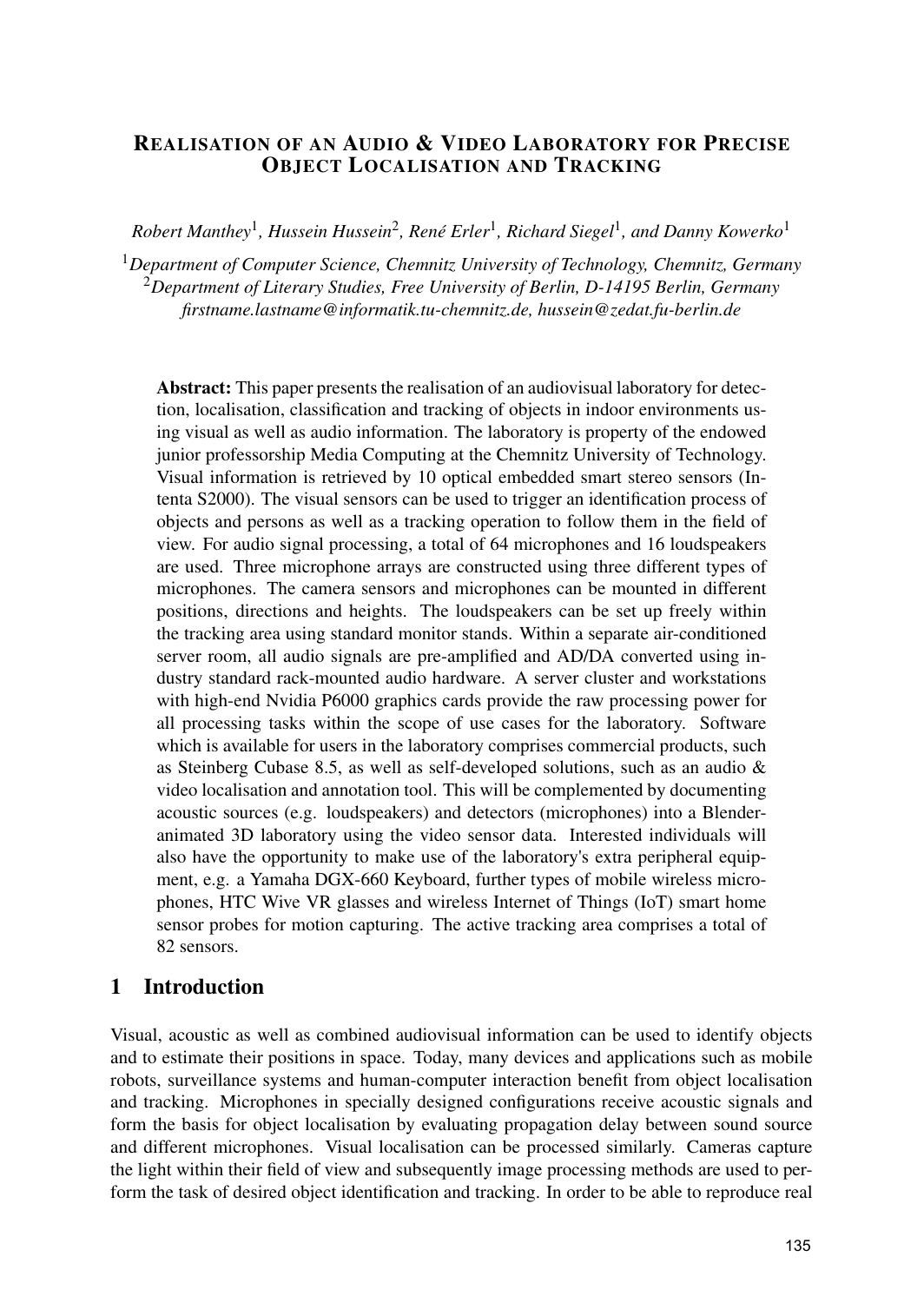### REALISATION OF AN AUDIO & VIDEO LABORATORY FOR PRECISE OBJECT LOCALISATION AND TRACKING

 $Robert$  Manthey<sup>1</sup>, Hussein Hussein<sup>2</sup>, René Erler<sup>1</sup>, Richard Siegel<sup>1</sup>, and Danny Kowerko<sup>1</sup>

<sup>1</sup>*Department of Computer Science, Chemnitz University of Technology, Chemnitz, Germany* <sup>2</sup>*Department of Literary Studies, Free University of Berlin, D-14195 Berlin, Germany firstname.lastname@informatik.tu-chemnitz.de, hussein@zedat.fu-berlin.de*

Abstract: This paper presents the realisation of an audiovisual laboratory for detection, localisation, classification and tracking of objects in indoor environments using visual as well as audio information. The laboratory is property of the endowed junior professorship Media Computing at the Chemnitz University of Technology. Visual information is retrieved by 10 optical embedded smart stereo sensors (Intenta S2000). The visual sensors can be used to trigger an identification process of objects and persons as well as a tracking operation to follow them in the field of view. For audio signal processing, a total of 64 microphones and 16 loudspeakers are used. Three microphone arrays are constructed using three different types of microphones. The camera sensors and microphones can be mounted in different positions, directions and heights. The loudspeakers can be set up freely within the tracking area using standard monitor stands. Within a separate air-conditioned server room, all audio signals are pre-amplified and AD/DA converted using industry standard rack-mounted audio hardware. A server cluster and workstations with high-end Nvidia P6000 graphics cards provide the raw processing power for all processing tasks within the scope of use cases for the laboratory. Software which is available for users in the laboratory comprises commercial products, such as Steinberg Cubase 8.5, as well as self-developed solutions, such as an audio & video localisation and annotation tool. This will be complemented by documenting acoustic sources (e.g. loudspeakers) and detectors (microphones) into a Blenderanimated 3D laboratory using the video sensor data. Interested individuals will also have the opportunity to make use of the laboratory's extra peripheral equipment, e.g. a Yamaha DGX-660 Keyboard, further types of mobile wireless microphones, HTC Wive VR glasses and wireless Internet of Things (IoT) smart home sensor probes for motion capturing. The active tracking area comprises a total of 82 sensors.

## 1 Introduction

Visual, acoustic as well as combined audiovisual information can be used to identify objects and to estimate their positions in space. Today, many devices and applications such as mobile robots, surveillance systems and human-computer interaction benefit from object localisation and tracking. Microphones in specially designed configurations receive acoustic signals and form the basis for object localisation by evaluating propagation delay between sound source and different microphones. Visual localisation can be processed similarly. Cameras capture the light within their field of view and subsequently image processing methods are used to perform the task of desired object identification and tracking. In order to be able to reproduce real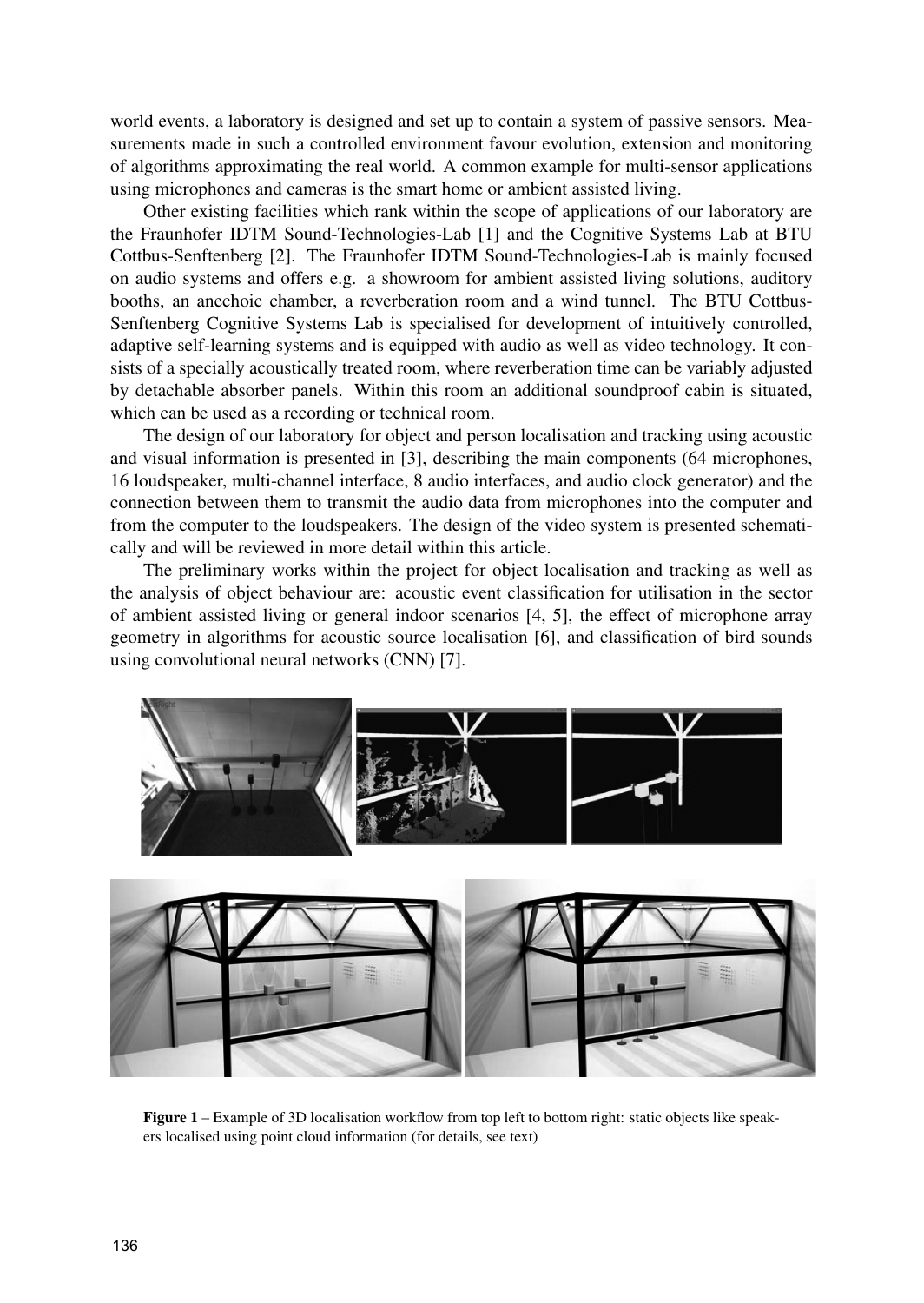world events, a laboratory is designed and set up to contain a system of passive sensors. Measurements made in such a controlled environment favour evolution, extension and monitoring of algorithms approximating the real world. A common example for multi-sensor applications using microphones and cameras is the smart home or ambient assisted living.

Other existing facilities which rank within the scope of applications of our laboratory are the Fraunhofer IDTM Sound-Technologies-Lab [1] and the Cognitive Systems Lab at BTU Cottbus-Senftenberg [2]. The Fraunhofer IDTM Sound-Technologies-Lab is mainly focused on audio systems and offers e.g. a showroom for ambient assisted living solutions, auditory booths, an anechoic chamber, a reverberation room and a wind tunnel. The BTU Cottbus-Senftenberg Cognitive Systems Lab is specialised for development of intuitively controlled, adaptive self-learning systems and is equipped with audio as well as video technology. It consists of a specially acoustically treated room, where reverberation time can be variably adjusted by detachable absorber panels. Within this room an additional soundproof cabin is situated, which can be used as a recording or technical room.

The design of our laboratory for object and person localisation and tracking using acoustic and visual information is presented in [3], describing the main components (64 microphones, 16 loudspeaker, multi-channel interface, 8 audio interfaces, and audio clock generator) and the connection between them to transmit the audio data from microphones into the computer and from the computer to the loudspeakers. The design of the video system is presented schematically and will be reviewed in more detail within this article.

The preliminary works within the project for object localisation and tracking as well as the analysis of object behaviour are: acoustic event classification for utilisation in the sector of ambient assisted living or general indoor scenarios [4, 5], the effect of microphone array geometry in algorithms for acoustic source localisation [6], and classification of bird sounds using convolutional neural networks (CNN) [7].



Figure 1 – Example of 3D localisation workflow from top left to bottom right: static objects like speakers localised using point cloud information (for details, see text)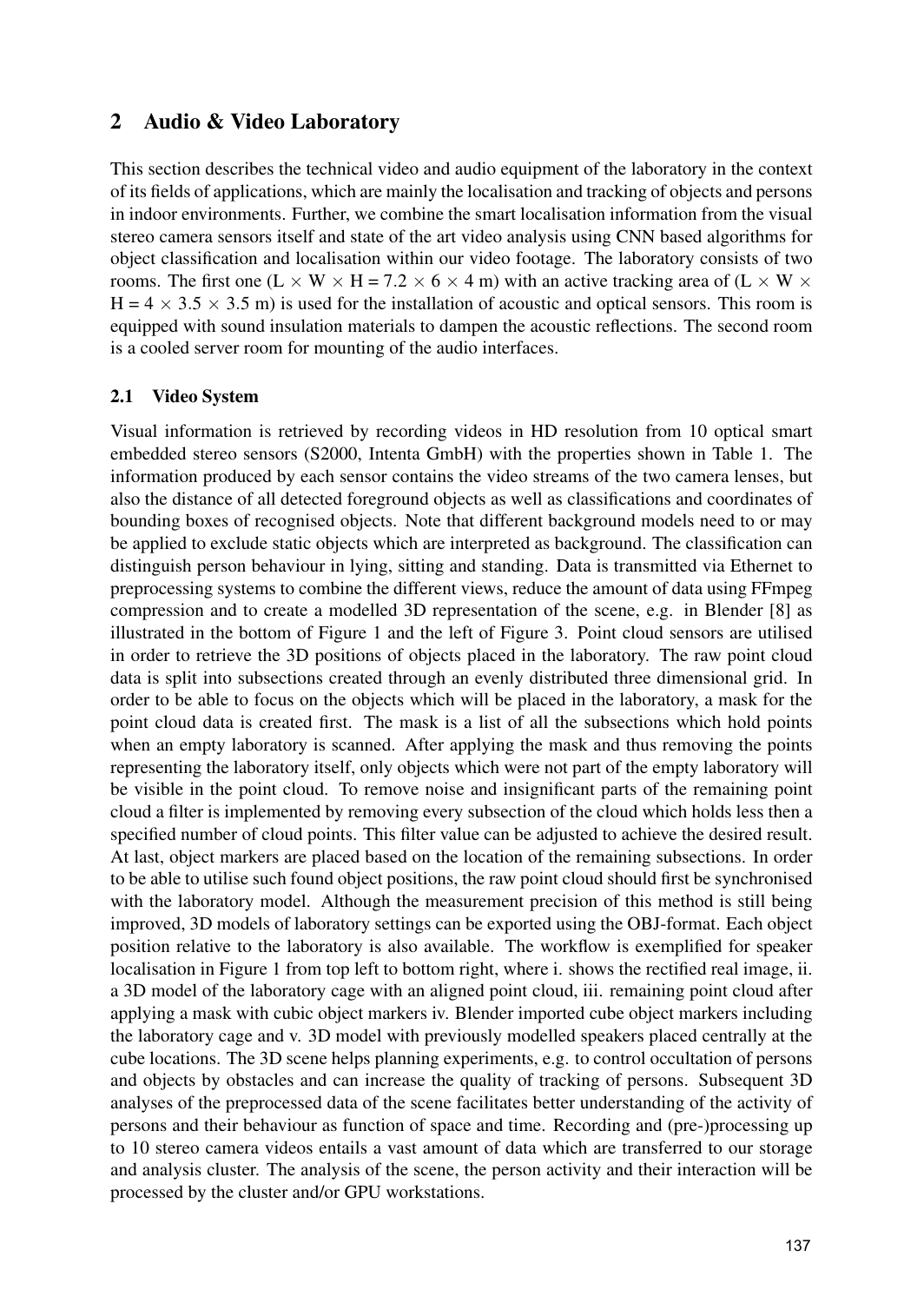### 2 Audio & Video Laboratory

This section describes the technical video and audio equipment of the laboratory in the context of its fields of applications, which are mainly the localisation and tracking of objects and persons in indoor environments. Further, we combine the smart localisation information from the visual stereo camera sensors itself and state of the art video analysis using CNN based algorithms for object classification and localisation within our video footage. The laboratory consists of two rooms. The first one (L  $\times$  W  $\times$  H = 7.2  $\times$  6  $\times$  4 m) with an active tracking area of (L  $\times$  W  $\times$  $H = 4 \times 3.5 \times 3.5$  m) is used for the installation of acoustic and optical sensors. This room is equipped with sound insulation materials to dampen the acoustic reflections. The second room is a cooled server room for mounting of the audio interfaces.

#### 2.1 Video System

Visual information is retrieved by recording videos in HD resolution from 10 optical smart embedded stereo sensors (S2000, Intenta GmbH) with the properties shown in Table 1. The information produced by each sensor contains the video streams of the two camera lenses, but also the distance of all detected foreground objects as well as classifications and coordinates of bounding boxes of recognised objects. Note that different background models need to or may be applied to exclude static objects which are interpreted as background. The classification can distinguish person behaviour in lying, sitting and standing. Data is transmitted via Ethernet to preprocessing systems to combine the different views, reduce the amount of data using FFmpeg compression and to create a modelled 3D representation of the scene, e.g. in Blender [8] as illustrated in the bottom of Figure 1 and the left of Figure 3. Point cloud sensors are utilised in order to retrieve the 3D positions of objects placed in the laboratory. The raw point cloud data is split into subsections created through an evenly distributed three dimensional grid. In order to be able to focus on the objects which will be placed in the laboratory, a mask for the point cloud data is created first. The mask is a list of all the subsections which hold points when an empty laboratory is scanned. After applying the mask and thus removing the points representing the laboratory itself, only objects which were not part of the empty laboratory will be visible in the point cloud. To remove noise and insignificant parts of the remaining point cloud a filter is implemented by removing every subsection of the cloud which holds less then a specified number of cloud points. This filter value can be adjusted to achieve the desired result. At last, object markers are placed based on the location of the remaining subsections. In order to be able to utilise such found object positions, the raw point cloud should first be synchronised with the laboratory model. Although the measurement precision of this method is still being improved, 3D models of laboratory settings can be exported using the OBJ-format. Each object position relative to the laboratory is also available. The workflow is exemplified for speaker localisation in Figure 1 from top left to bottom right, where i. shows the rectified real image, ii. a 3D model of the laboratory cage with an aligned point cloud, iii. remaining point cloud after applying a mask with cubic object markers iv. Blender imported cube object markers including the laboratory cage and v. 3D model with previously modelled speakers placed centrally at the cube locations. The 3D scene helps planning experiments, e.g. to control occultation of persons and objects by obstacles and can increase the quality of tracking of persons. Subsequent 3D analyses of the preprocessed data of the scene facilitates better understanding of the activity of persons and their behaviour as function of space and time. Recording and (pre-)processing up to 10 stereo camera videos entails a vast amount of data which are transferred to our storage and analysis cluster. The analysis of the scene, the person activity and their interaction will be processed by the cluster and/or GPU workstations.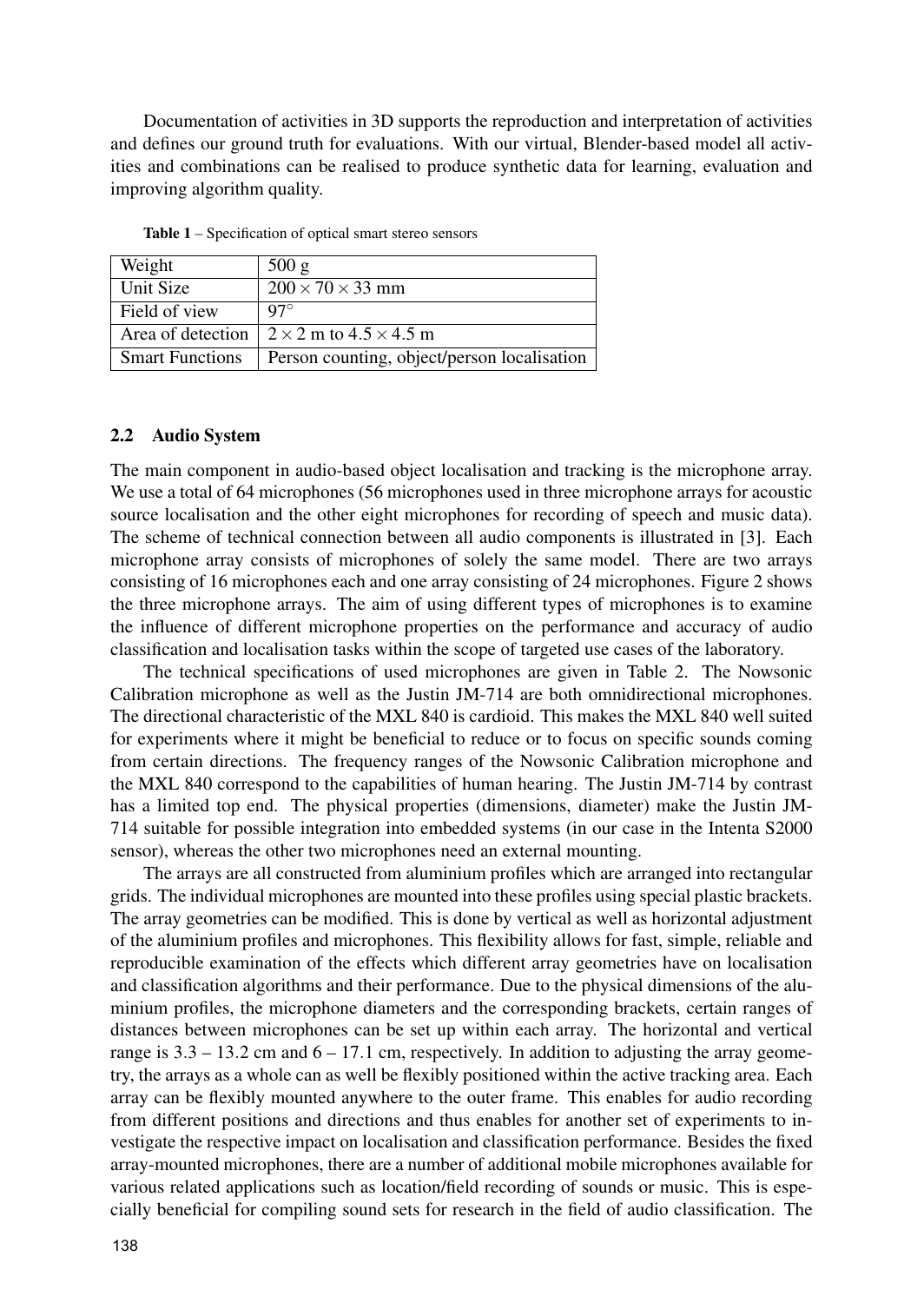Documentation of activities in 3D supports the reproduction and interpretation of activities and defines our ground truth for evaluations. With our virtual, Blender-based model all activities and combinations can be realised to produce synthetic data for learning, evaluation and improving algorithm quality.

| Weight                 | 500 g                                       |
|------------------------|---------------------------------------------|
| Unit Size              | $200 \times 70 \times 33$ mm                |
| Field of view          | $97^\circ$                                  |
| Area of detection      | $2 \times 2$ m to $4.5 \times 4.5$ m        |
| <b>Smart Functions</b> | Person counting, object/person localisation |

Table 1 – Specification of optical smart stereo sensors

#### 2.2 Audio System

The main component in audio-based object localisation and tracking is the microphone array. We use a total of 64 microphones (56 microphones used in three microphone arrays for acoustic source localisation and the other eight microphones for recording of speech and music data). The scheme of technical connection between all audio components is illustrated in [3]. Each microphone array consists of microphones of solely the same model. There are two arrays consisting of 16 microphones each and one array consisting of 24 microphones. Figure 2 shows the three microphone arrays. The aim of using different types of microphones is to examine the influence of different microphone properties on the performance and accuracy of audio classification and localisation tasks within the scope of targeted use cases of the laboratory.

The technical specifications of used microphones are given in Table 2. The Nowsonic Calibration microphone as well as the Justin JM-714 are both omnidirectional microphones. The directional characteristic of the MXL 840 is cardioid. This makes the MXL 840 well suited for experiments where it might be beneficial to reduce or to focus on specific sounds coming from certain directions. The frequency ranges of the Nowsonic Calibration microphone and the MXL 840 correspond to the capabilities of human hearing. The Justin JM-714 by contrast has a limited top end. The physical properties (dimensions, diameter) make the Justin JM-714 suitable for possible integration into embedded systems (in our case in the Intenta S2000 sensor), whereas the other two microphones need an external mounting.

The arrays are all constructed from aluminium profiles which are arranged into rectangular grids. The individual microphones are mounted into these profiles using special plastic brackets. The array geometries can be modified. This is done by vertical as well as horizontal adjustment of the aluminium profiles and microphones. This flexibility allows for fast, simple, reliable and reproducible examination of the effects which different array geometries have on localisation and classification algorithms and their performance. Due to the physical dimensions of the aluminium profiles, the microphone diameters and the corresponding brackets, certain ranges of distances between microphones can be set up within each array. The horizontal and vertical range is  $3.3 - 13.2$  cm and  $6 - 17.1$  cm, respectively. In addition to adjusting the array geometry, the arrays as a whole can as well be flexibly positioned within the active tracking area. Each array can be flexibly mounted anywhere to the outer frame. This enables for audio recording from different positions and directions and thus enables for another set of experiments to investigate the respective impact on localisation and classification performance. Besides the fixed array-mounted microphones, there are a number of additional mobile microphones available for various related applications such as location/field recording of sounds or music. This is especially beneficial for compiling sound sets for research in the field of audio classification. The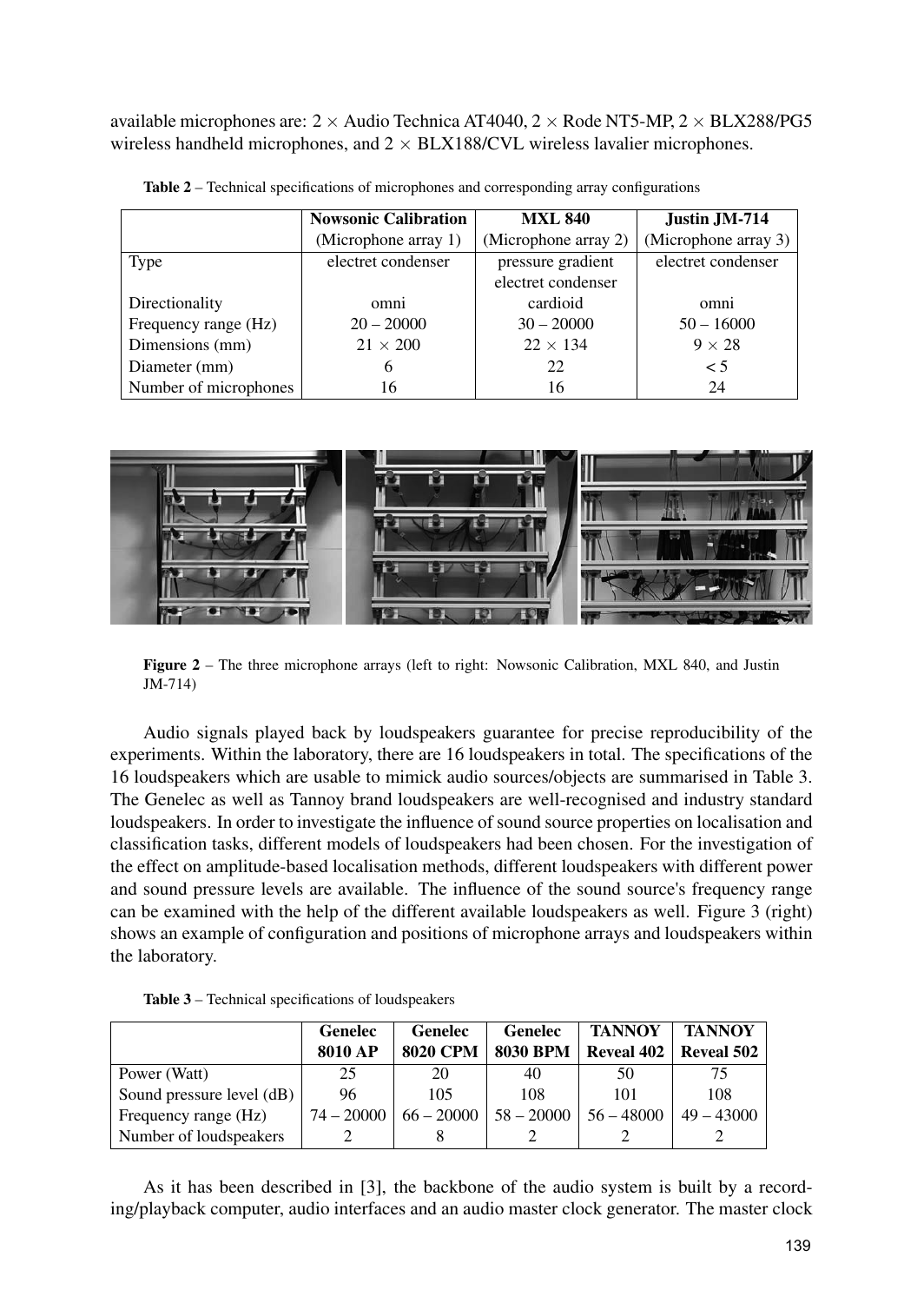available microphones are:  $2 \times$  Audio Technica AT4040,  $2 \times$  Rode NT5-MP,  $2 \times$  BLX288/PG5 wireless handheld microphones, and  $2 \times BLX188/CVL$  wireless lavalier microphones.

|                       | <b>Nowsonic Calibration</b> | <b>MXL 840</b>       | Justin JM-714        |  |
|-----------------------|-----------------------------|----------------------|----------------------|--|
|                       | (Microphone array 1)        | (Microphone array 2) | (Microphone array 3) |  |
| Type                  | electret condenser          | pressure gradient    | electret condenser   |  |
|                       |                             | electret condenser   |                      |  |
| Directionality        | omni                        | cardioid             | omni                 |  |
| Frequency range (Hz)  | $20 - 20000$                | $30 - 20000$         | $50 - 16000$         |  |
| Dimensions (mm)       | $21 \times 200$             | $22 \times 134$      | $9 \times 28$        |  |
| Diameter (mm)         | 6                           | 22                   | $\leq 5$             |  |
| Number of microphones | 16                          | 16                   | 24                   |  |

Table 2 – Technical specifications of microphones and corresponding array configurations



Figure 2 – The three microphone arrays (left to right: Nowsonic Calibration, MXL 840, and Justin JM-714)

Audio signals played back by loudspeakers guarantee for precise reproducibility of the experiments. Within the laboratory, there are 16 loudspeakers in total. The specifications of the 16 loudspeakers which are usable to mimick audio sources/objects are summarised in Table 3. The Genelec as well as Tannoy brand loudspeakers are well-recognised and industry standard loudspeakers. In order to investigate the influence of sound source properties on localisation and classification tasks, different models of loudspeakers had been chosen. For the investigation of the effect on amplitude-based localisation methods, different loudspeakers with different power and sound pressure levels are available. The influence of the sound source's frequency range can be examined with the help of the different available loudspeakers as well. Figure 3 (right) shows an example of configuration and positions of microphone arrays and loudspeakers within the laboratory.

| <b>Table 3</b> – Technical specifications of loudspeakers |  |  |
|-----------------------------------------------------------|--|--|
|-----------------------------------------------------------|--|--|

|                           | Genelec      | <b>Genelec</b>  | Genelec         | <b>TANNOY</b>     | <b>TANNOY</b>     |
|---------------------------|--------------|-----------------|-----------------|-------------------|-------------------|
|                           | 8010 AP      | <b>8020 CPM</b> | <b>8030 BPM</b> | <b>Reveal 402</b> | <b>Reveal 502</b> |
| Power (Watt)              | 25           | 20              | 40              | 50                |                   |
| Sound pressure level (dB) | 96           | 105             | 108             | 101               | 108               |
| Frequency range (Hz)      | $74 - 20000$ | $66 - 20000$    | $58 - 20000$    | $56 - 48000$      | $49 - 43000$      |
| Number of loudspeakers    |              |                 |                 |                   |                   |

As it has been described in [3], the backbone of the audio system is built by a recording/playback computer, audio interfaces and an audio master clock generator. The master clock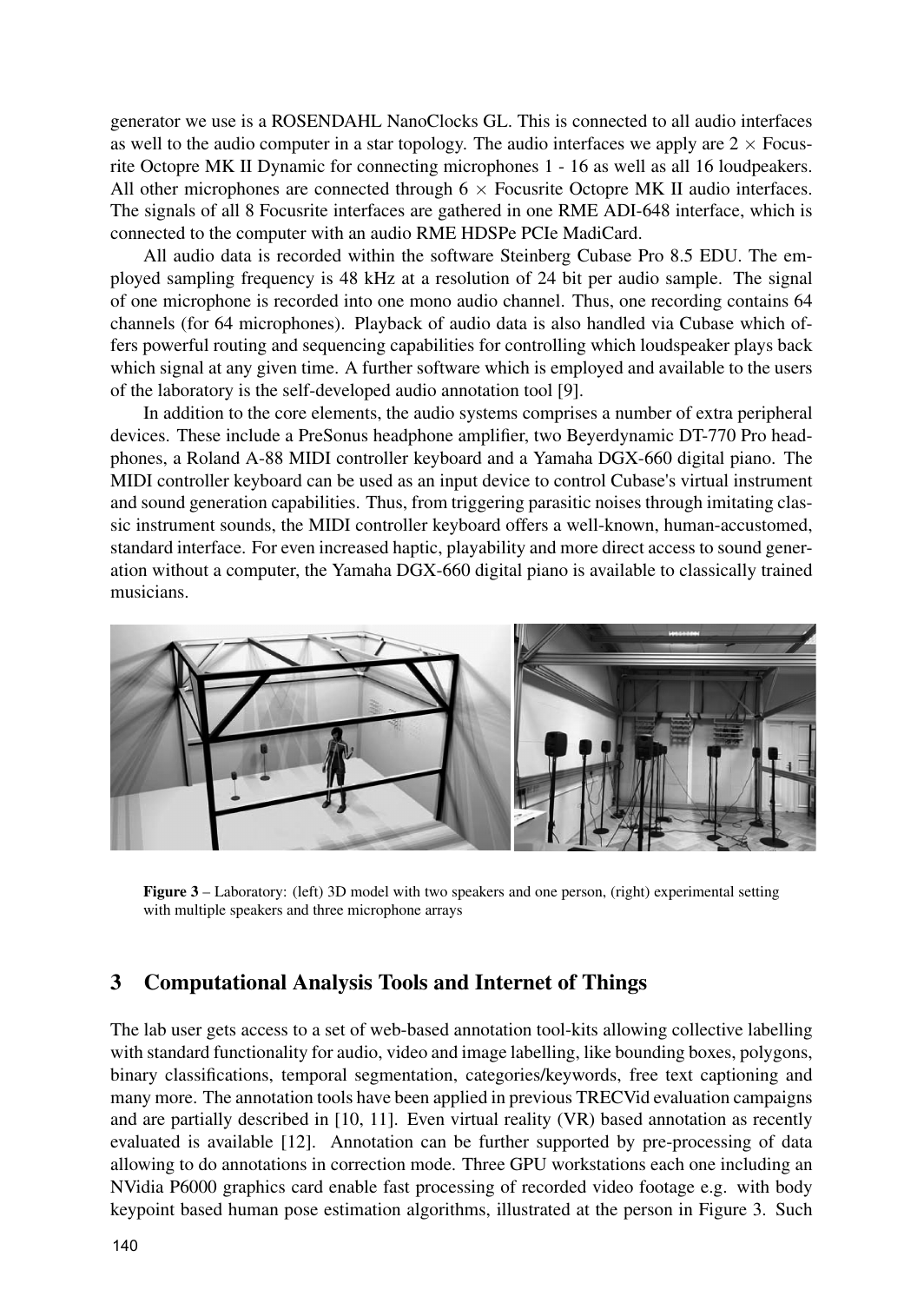generator we use is a ROSENDAHL NanoClocks GL. This is connected to all audio interfaces as well to the audio computer in a star topology. The audio interfaces we apply are  $2 \times$  Focusrite Octopre MK II Dynamic for connecting microphones 1 - 16 as well as all 16 loudpeakers. All other microphones are connected through  $6 \times$  Focusrite Octopre MK II audio interfaces. The signals of all 8 Focusrite interfaces are gathered in one RME ADI-648 interface, which is connected to the computer with an audio RME HDSPe PCIe MadiCard.

All audio data is recorded within the software Steinberg Cubase Pro 8.5 EDU. The employed sampling frequency is 48 kHz at a resolution of 24 bit per audio sample. The signal of one microphone is recorded into one mono audio channel. Thus, one recording contains 64 channels (for 64 microphones). Playback of audio data is also handled via Cubase which offers powerful routing and sequencing capabilities for controlling which loudspeaker plays back which signal at any given time. A further software which is employed and available to the users of the laboratory is the self-developed audio annotation tool [9].

In addition to the core elements, the audio systems comprises a number of extra peripheral devices. These include a PreSonus headphone amplifier, two Beyerdynamic DT-770 Pro headphones, a Roland A-88 MIDI controller keyboard and a Yamaha DGX-660 digital piano. The MIDI controller keyboard can be used as an input device to control Cubase's virtual instrument and sound generation capabilities. Thus, from triggering parasitic noises through imitating classic instrument sounds, the MIDI controller keyboard offers a well-known, human-accustomed, standard interface. For even increased haptic, playability and more direct access to sound generation without a computer, the Yamaha DGX-660 digital piano is available to classically trained musicians.



Figure 3 – Laboratory: (left) 3D model with two speakers and one person, (right) experimental setting with multiple speakers and three microphone arrays

### 3 Computational Analysis Tools and Internet of Things

The lab user gets access to a set of web-based annotation tool-kits allowing collective labelling with standard functionality for audio, video and image labelling, like bounding boxes, polygons, binary classifications, temporal segmentation, categories/keywords, free text captioning and many more. The annotation tools have been applied in previous TRECVid evaluation campaigns and are partially described in [10, 11]. Even virtual reality (VR) based annotation as recently evaluated is available [12]. Annotation can be further supported by pre-processing of data allowing to do annotations in correction mode. Three GPU workstations each one including an NVidia P6000 graphics card enable fast processing of recorded video footage e.g. with body keypoint based human pose estimation algorithms, illustrated at the person in Figure 3. Such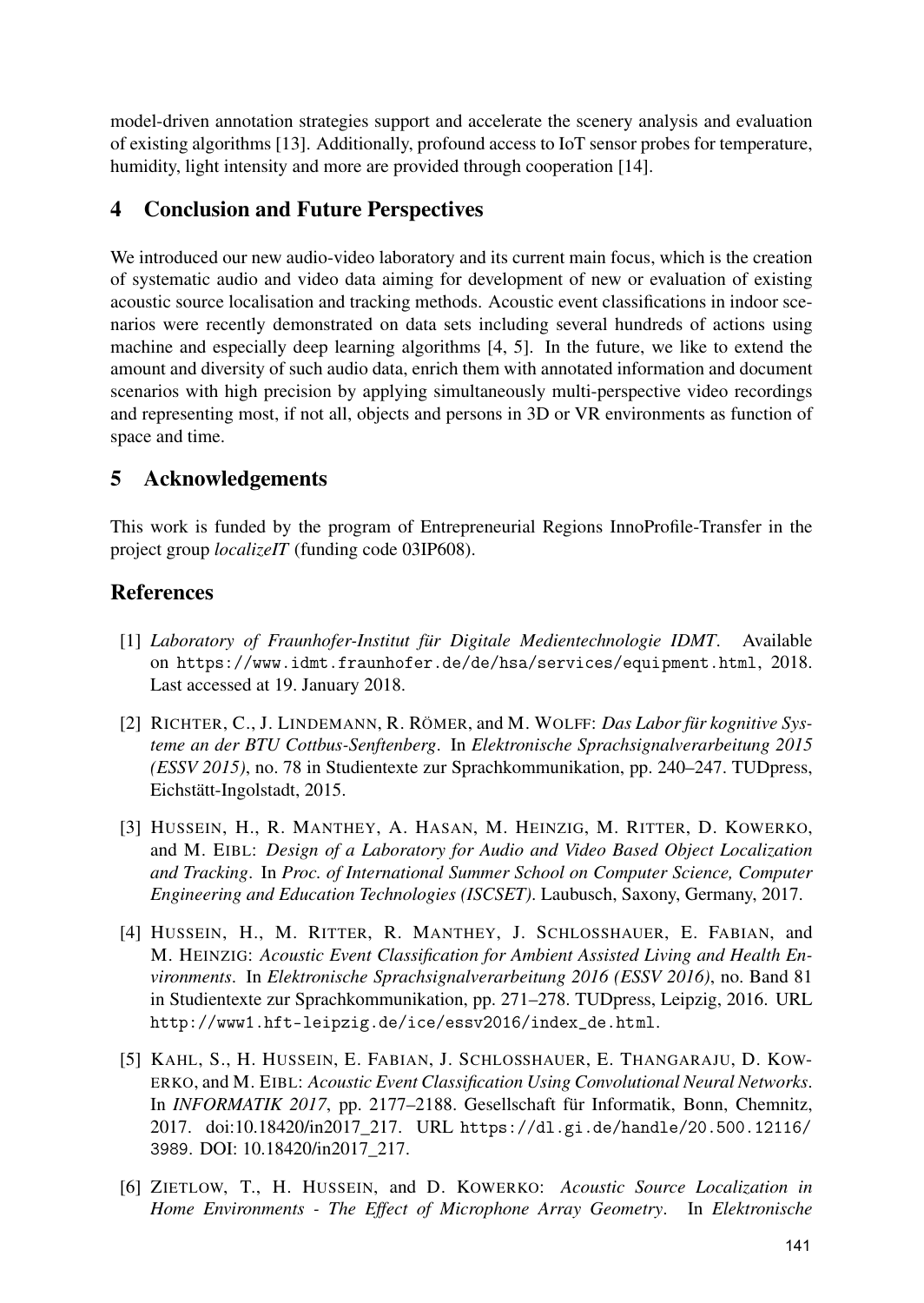model-driven annotation strategies support and accelerate the scenery analysis and evaluation of existing algorithms [13]. Additionally, profound access to IoT sensor probes for temperature, humidity, light intensity and more are provided through cooperation [14].

# 4 Conclusion and Future Perspectives

We introduced our new audio-video laboratory and its current main focus, which is the creation of systematic audio and video data aiming for development of new or evaluation of existing acoustic source localisation and tracking methods. Acoustic event classifications in indoor scenarios were recently demonstrated on data sets including several hundreds of actions using machine and especially deep learning algorithms [4, 5]. In the future, we like to extend the amount and diversity of such audio data, enrich them with annotated information and document scenarios with high precision by applying simultaneously multi-perspective video recordings and representing most, if not all, objects and persons in 3D or VR environments as function of space and time.

## 5 Acknowledgements

This work is funded by the program of Entrepreneurial Regions InnoProfile-Transfer in the project group *localizeIT* (funding code 03IP608).

## **References**

- [1] *Laboratory of Fraunhofer-Institut für Digitale Medientechnologie IDMT*. Available on https://www.idmt.fraunhofer.de/de/hsa/services/equipment.html, 2018. Last accessed at 19. January 2018.
- [2] RICHTER, C., J. LINDEMANN, R. RÖMER, and M. WOLFF: *Das Labor für kognitive Systeme an der BTU Cottbus-Senftenberg*. In *Elektronische Sprachsignalverarbeitung 2015 (ESSV 2015)*, no. 78 in Studientexte zur Sprachkommunikation, pp. 240–247. TUDpress, Eichstätt-Ingolstadt, 2015.
- [3] HUSSEIN, H., R. MANTHEY, A. HASAN, M. HEINZIG, M. RITTER, D. KOWERKO, and M. EIBL: *Design of a Laboratory for Audio and Video Based Object Localization and Tracking*. In *Proc. of International Summer School on Computer Science, Computer Engineering and Education Technologies (ISCSET)*. Laubusch, Saxony, Germany, 2017.
- [4] HUSSEIN, H., M. RITTER, R. MANTHEY, J. SCHLOSSHAUER, E. FABIAN, and M. HEINZIG: *Acoustic Event Classification for Ambient Assisted Living and Health Environments*. In *Elektronische Sprachsignalverarbeitung 2016 (ESSV 2016)*, no. Band 81 in Studientexte zur Sprachkommunikation, pp. 271–278. TUDpress, Leipzig, 2016. URL http://www1.hft-leipzig.de/ice/essv2016/index\_de.html.
- [5] KAHL, S., H. HUSSEIN, E. FABIAN, J. SCHLOSSHAUER, E. THANGARAJU, D. KOW-ERKO, and M. EIBL: *Acoustic Event Classification Using Convolutional Neural Networks*. In *INFORMATIK 2017*, pp. 2177–2188. Gesellschaft für Informatik, Bonn, Chemnitz, 2017. doi:10.18420/in2017\_217. URL https://dl.gi.de/handle/20.500.12116/ 3989. DOI: 10.18420/in2017\_217.
- [6] ZIETLOW, T., H. HUSSEIN, and D. KOWERKO: *Acoustic Source Localization in Home Environments - The Effect of Microphone Array Geometry*. In *Elektronische*